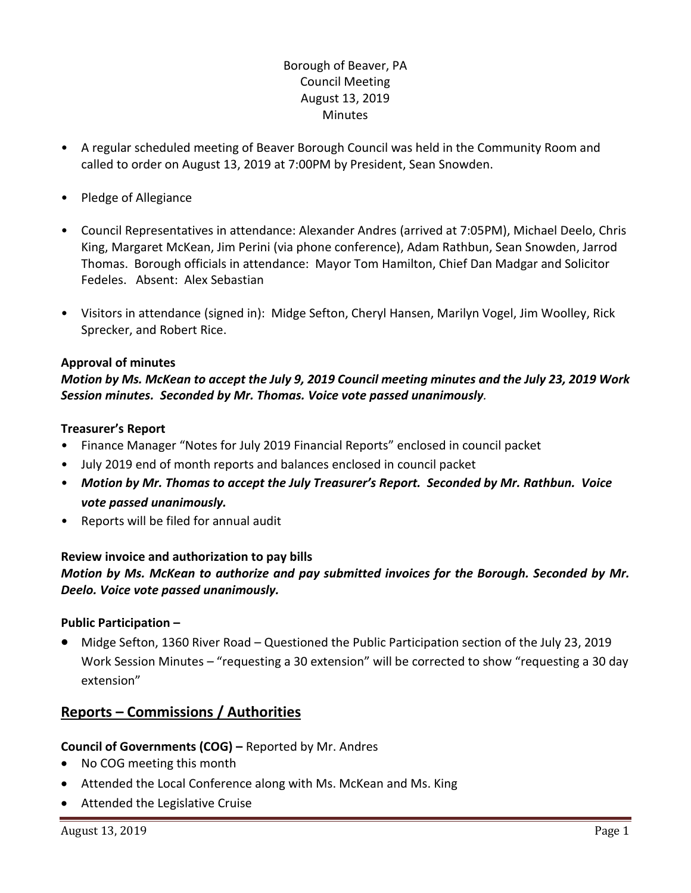# Borough of Beaver, PA Council Meeting August 13, 2019 Minutes

- A regular scheduled meeting of Beaver Borough Council was held in the Community Room and called to order on August 13, 2019 at 7:00PM by President, Sean Snowden.
- Pledge of Allegiance
- Council Representatives in attendance: Alexander Andres (arrived at 7:05PM), Michael Deelo, Chris King, Margaret McKean, Jim Perini (via phone conference), Adam Rathbun, Sean Snowden, Jarrod Thomas. Borough officials in attendance: Mayor Tom Hamilton, Chief Dan Madgar and Solicitor Fedeles. Absent: Alex Sebastian
- Visitors in attendance (signed in): Midge Sefton, Cheryl Hansen, Marilyn Vogel, Jim Woolley, Rick Sprecker, and Robert Rice.

### **Approval of minutes**

## *Motion by Ms. McKean to accept the July 9, 2019 Council meeting minutes and the July 23, 2019 Work Session minutes. Seconded by Mr. Thomas. Voice vote passed unanimously.*

#### **Treasurer's Report**

- Finance Manager "Notes for July 2019 Financial Reports" enclosed in council packet
- July 2019 end of month reports and balances enclosed in council packet
- *Motion by Mr. Thomas to accept the July Treasurer's Report. Seconded by Mr. Rathbun. Voice vote passed unanimously.*
- Reports will be filed for annual audit

#### **Review invoice and authorization to pay bills**

*Motion by Ms. McKean to authorize and pay submitted invoices for the Borough. Seconded by Mr. Deelo. Voice vote passed unanimously.*

#### **Public Participation –**

 Midge Sefton, 1360 River Road – Questioned the Public Participation section of the July 23, 2019 Work Session Minutes – "requesting a 30 extension" will be corrected to show "requesting a 30 day extension"

# **Reports – Commissions / Authorities**

#### **Council of Governments (COG) –** Reported by Mr. Andres

- No COG meeting this month
- Attended the Local Conference along with Ms. McKean and Ms. King
- Attended the Legislative Cruise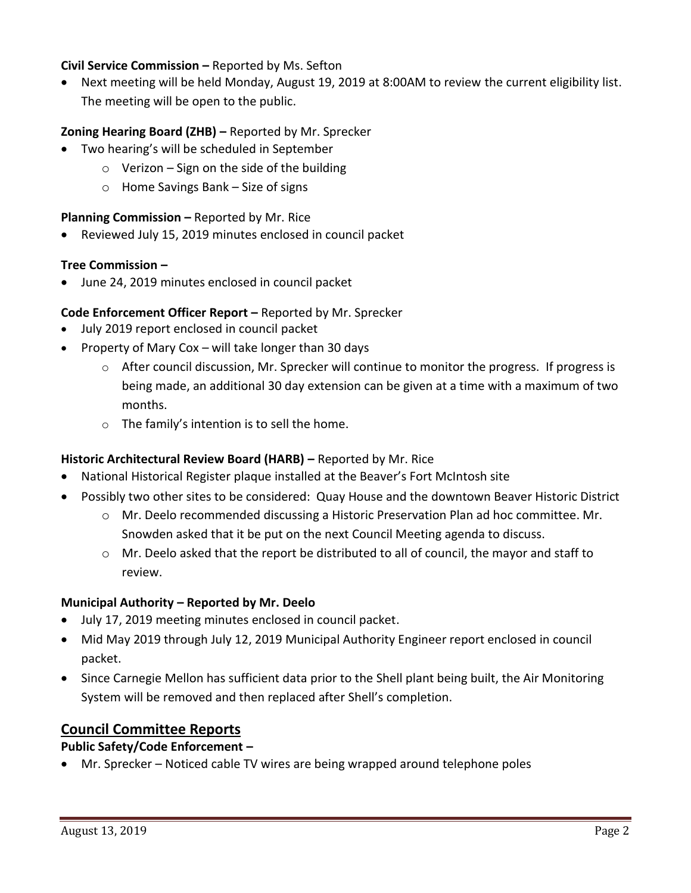### **Civil Service Commission –** Reported by Ms. Sefton

 Next meeting will be held Monday, August 19, 2019 at 8:00AM to review the current eligibility list. The meeting will be open to the public.

## **Zoning Hearing Board (ZHB) –** Reported by Mr. Sprecker

- Two hearing's will be scheduled in September
	- $\circ$  Verizon Sign on the side of the building
	- o Home Savings Bank Size of signs

## **Planning Commission –** Reported by Mr. Rice

Reviewed July 15, 2019 minutes enclosed in council packet

### **Tree Commission –**

June 24, 2019 minutes enclosed in council packet

## **Code Enforcement Officer Report –** Reported by Mr. Sprecker

- July 2019 report enclosed in council packet
- Property of Mary Cox will take longer than 30 days
	- o After council discussion, Mr. Sprecker will continue to monitor the progress. If progress is being made, an additional 30 day extension can be given at a time with a maximum of two months.
	- o The family's intention is to sell the home.

## **Historic Architectural Review Board (HARB) – Reported by Mr. Rice**

- National Historical Register plaque installed at the Beaver's Fort McIntosh site
- Possibly two other sites to be considered: Quay House and the downtown Beaver Historic District
	- o Mr. Deelo recommended discussing a Historic Preservation Plan ad hoc committee. Mr. Snowden asked that it be put on the next Council Meeting agenda to discuss.
	- $\circ$  Mr. Deelo asked that the report be distributed to all of council, the mayor and staff to review.

## **Municipal Authority – Reported by Mr. Deelo**

- July 17, 2019 meeting minutes enclosed in council packet.
- Mid May 2019 through July 12, 2019 Municipal Authority Engineer report enclosed in council packet.
- Since Carnegie Mellon has sufficient data prior to the Shell plant being built, the Air Monitoring System will be removed and then replaced after Shell's completion.

## **Council Committee Reports**

## **Public Safety/Code Enforcement –**

Mr. Sprecker – Noticed cable TV wires are being wrapped around telephone poles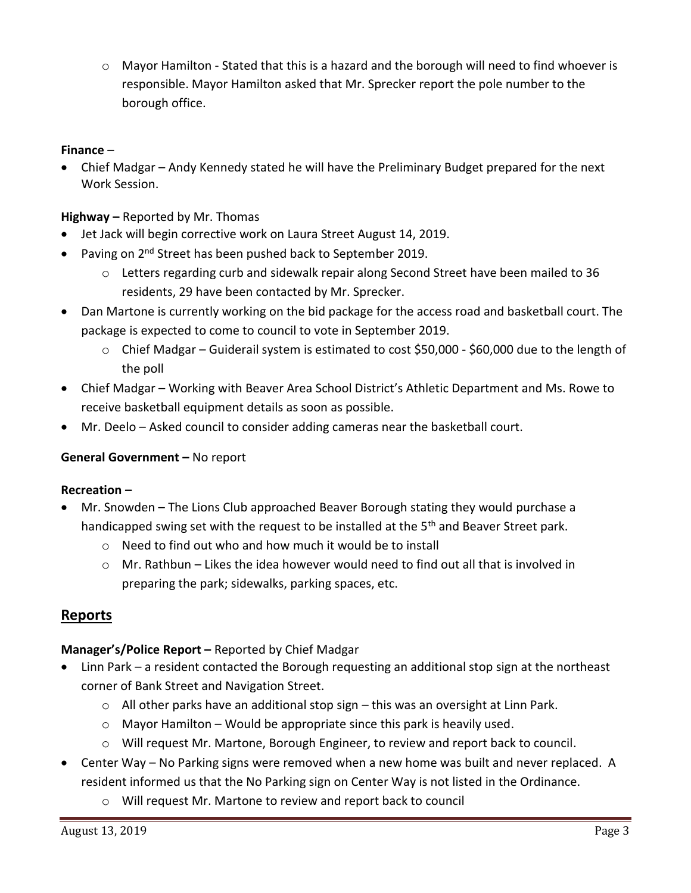$\circ$  Mayor Hamilton - Stated that this is a hazard and the borough will need to find whoever is responsible. Mayor Hamilton asked that Mr. Sprecker report the pole number to the borough office.

### **Finance** –

 Chief Madgar – Andy Kennedy stated he will have the Preliminary Budget prepared for the next Work Session.

**Highway –** Reported by Mr. Thomas

- Jet Jack will begin corrective work on Laura Street August 14, 2019.
- Paving on 2<sup>nd</sup> Street has been pushed back to September 2019.
	- o Letters regarding curb and sidewalk repair along Second Street have been mailed to 36 residents, 29 have been contacted by Mr. Sprecker.
- Dan Martone is currently working on the bid package for the access road and basketball court. The package is expected to come to council to vote in September 2019.
	- o Chief Madgar Guiderail system is estimated to cost \$50,000 \$60,000 due to the length of the poll
- Chief Madgar Working with Beaver Area School District's Athletic Department and Ms. Rowe to receive basketball equipment details as soon as possible.
- Mr. Deelo Asked council to consider adding cameras near the basketball court.

## **General Government –** No report

## **Recreation –**

- Mr. Snowden The Lions Club approached Beaver Borough stating they would purchase a handicapped swing set with the request to be installed at the 5<sup>th</sup> and Beaver Street park.
	- o Need to find out who and how much it would be to install
	- $\circ$  Mr. Rathbun Likes the idea however would need to find out all that is involved in preparing the park; sidewalks, parking spaces, etc.

# **Reports**

## **Manager's/Police Report –** Reported by Chief Madgar

- Linn Park a resident contacted the Borough requesting an additional stop sign at the northeast corner of Bank Street and Navigation Street.
	- $\circ$  All other parks have an additional stop sign this was an oversight at Linn Park.
	- $\circ$  Mayor Hamilton Would be appropriate since this park is heavily used.
	- o Will request Mr. Martone, Borough Engineer, to review and report back to council.
- Center Way No Parking signs were removed when a new home was built and never replaced. A resident informed us that the No Parking sign on Center Way is not listed in the Ordinance.
	- o Will request Mr. Martone to review and report back to council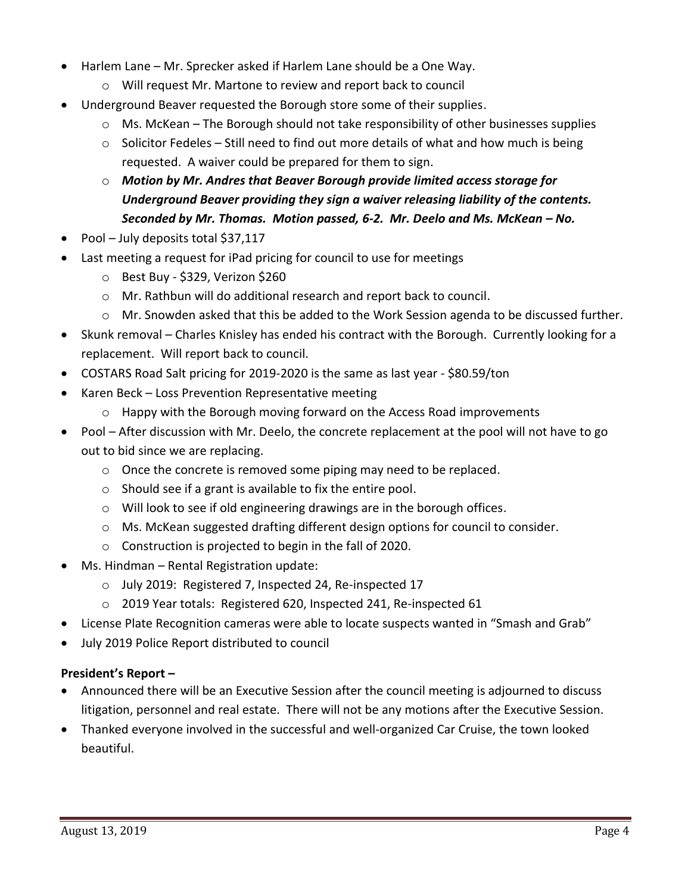- Harlem Lane Mr. Sprecker asked if Harlem Lane should be a One Way.
	- o Will request Mr. Martone to review and report back to council
- Underground Beaver requested the Borough store some of their supplies.
	- o Ms. McKean The Borough should not take responsibility of other businesses supplies
	- o Solicitor Fedeles Still need to find out more details of what and how much is being requested. A waiver could be prepared for them to sign.
	- o *Motion by Mr. Andres that Beaver Borough provide limited access storage for Underground Beaver providing they sign a waiver releasing liability of the contents. Seconded by Mr. Thomas. Motion passed, 6-2. Mr. Deelo and Ms. McKean – No.*
- Pool July deposits total \$37,117
- Last meeting a request for iPad pricing for council to use for meetings
	- o Best Buy \$329, Verizon \$260
	- o Mr. Rathbun will do additional research and report back to council.
	- o Mr. Snowden asked that this be added to the Work Session agenda to be discussed further.
- Skunk removal Charles Knisley has ended his contract with the Borough. Currently looking for a replacement. Will report back to council.
- COSTARS Road Salt pricing for 2019-2020 is the same as last year \$80.59/ton
- Karen Beck Loss Prevention Representative meeting
	- $\circ$  Happy with the Borough moving forward on the Access Road improvements
- Pool After discussion with Mr. Deelo, the concrete replacement at the pool will not have to go out to bid since we are replacing.
	- o Once the concrete is removed some piping may need to be replaced.
	- o Should see if a grant is available to fix the entire pool.
	- o Will look to see if old engineering drawings are in the borough offices.
	- o Ms. McKean suggested drafting different design options for council to consider.
	- o Construction is projected to begin in the fall of 2020.
- Ms. Hindman Rental Registration update:
	- o July 2019: Registered 7, Inspected 24, Re-inspected 17
	- o 2019 Year totals: Registered 620, Inspected 241, Re-inspected 61
- License Plate Recognition cameras were able to locate suspects wanted in "Smash and Grab"
- July 2019 Police Report distributed to council

## **President's Report –**

- Announced there will be an Executive Session after the council meeting is adjourned to discuss litigation, personnel and real estate. There will not be any motions after the Executive Session.
- Thanked everyone involved in the successful and well-organized Car Cruise, the town looked beautiful.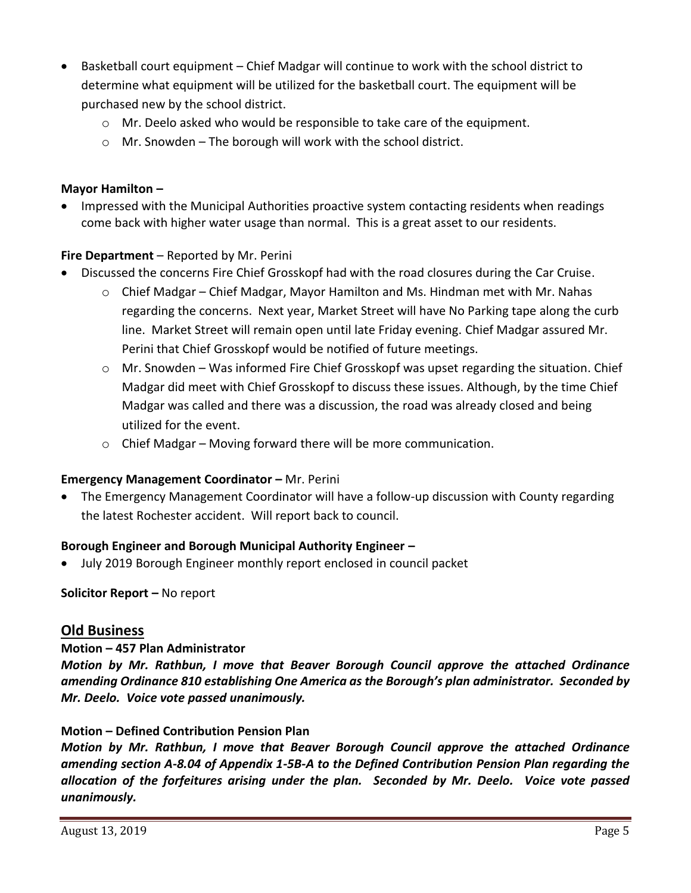- Basketball court equipment Chief Madgar will continue to work with the school district to determine what equipment will be utilized for the basketball court. The equipment will be purchased new by the school district.
	- o Mr. Deelo asked who would be responsible to take care of the equipment.
	- o Mr. Snowden The borough will work with the school district.

### **Mayor Hamilton –**

• Impressed with the Municipal Authorities proactive system contacting residents when readings come back with higher water usage than normal. This is a great asset to our residents.

## **Fire Department** – Reported by Mr. Perini

- Discussed the concerns Fire Chief Grosskopf had with the road closures during the Car Cruise.
	- o Chief Madgar Chief Madgar, Mayor Hamilton and Ms. Hindman met with Mr. Nahas regarding the concerns. Next year, Market Street will have No Parking tape along the curb line. Market Street will remain open until late Friday evening. Chief Madgar assured Mr. Perini that Chief Grosskopf would be notified of future meetings.
	- o Mr. Snowden Was informed Fire Chief Grosskopf was upset regarding the situation. Chief Madgar did meet with Chief Grosskopf to discuss these issues. Although, by the time Chief Madgar was called and there was a discussion, the road was already closed and being utilized for the event.
	- $\circ$  Chief Madgar Moving forward there will be more communication.

## **Emergency Management Coordinator – Mr. Perini**

 The Emergency Management Coordinator will have a follow-up discussion with County regarding the latest Rochester accident. Will report back to council.

## **Borough Engineer and Borough Municipal Authority Engineer –**

July 2019 Borough Engineer monthly report enclosed in council packet

**Solicitor Report –** No report

## **Old Business**

## **Motion – 457 Plan Administrator**

*Motion by Mr. Rathbun, I move that Beaver Borough Council approve the attached Ordinance amending Ordinance 810 establishing One America as the Borough's plan administrator. Seconded by Mr. Deelo. Voice vote passed unanimously.*

## **Motion – Defined Contribution Pension Plan**

*Motion by Mr. Rathbun, I move that Beaver Borough Council approve the attached Ordinance amending section A-8.04 of Appendix 1-5B-A to the Defined Contribution Pension Plan regarding the allocation of the forfeitures arising under the plan. Seconded by Mr. Deelo. Voice vote passed unanimously.*